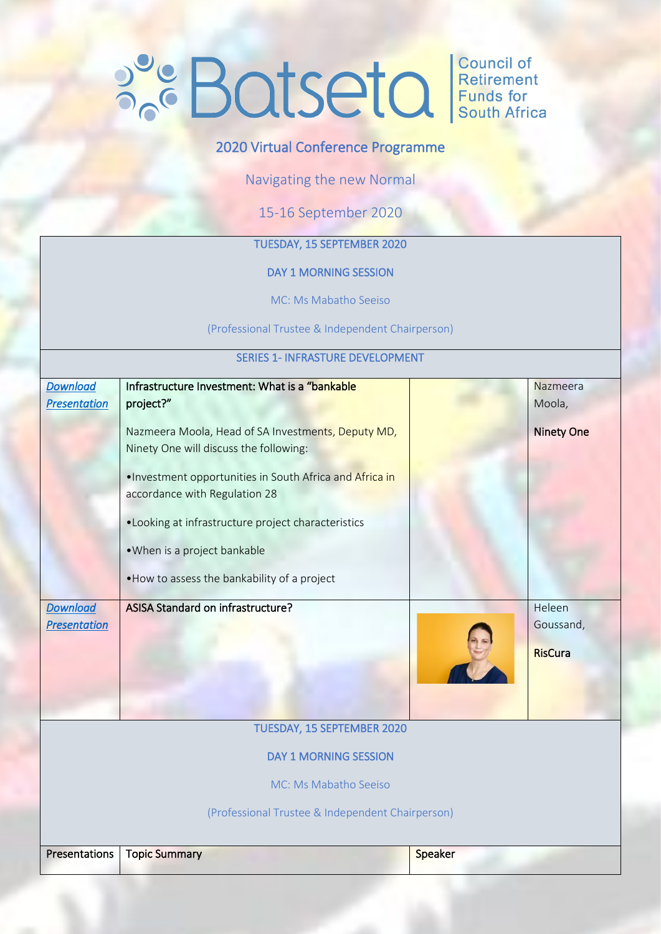# **POLISEIQ** Retirement

# 2020 Virtual Conference Programme

Navigating the new Normal

15-16 September 2020

# TUESDAY, 15 SEPTEMBER 2020

#### DAY 1 MORNING SESSION

MC: Ms Mabatho Seeiso

(Professional Trustee & Independent Chairperson)

#### SERIES 1- INFRASTURE DEVELOPMENT

| <b>Download</b>                                  | Infrastructure Investment: What is a "bankable"          |         | Nazmeera          |  |
|--------------------------------------------------|----------------------------------------------------------|---------|-------------------|--|
| <b>Presentation</b>                              | project?"                                                |         | Moola,            |  |
|                                                  |                                                          |         |                   |  |
|                                                  | Nazmeera Moola, Head of SA Investments, Deputy MD,       |         | <b>Ninety One</b> |  |
|                                                  | Ninety One will discuss the following:                   |         |                   |  |
|                                                  |                                                          |         |                   |  |
|                                                  | . Investment opportunities in South Africa and Africa in |         |                   |  |
|                                                  | accordance with Regulation 28                            |         |                   |  |
|                                                  |                                                          |         |                   |  |
|                                                  | . Looking at infrastructure project characteristics      |         |                   |  |
|                                                  | . When is a project bankable                             |         |                   |  |
|                                                  |                                                          |         |                   |  |
|                                                  | . How to assess the bankability of a project             |         |                   |  |
|                                                  |                                                          |         |                   |  |
| <b>Download</b>                                  | ASISA Standard on infrastructure?                        |         | Heleen            |  |
| <b>Presentation</b>                              |                                                          |         | Goussand,         |  |
|                                                  |                                                          |         | <b>RisCura</b>    |  |
|                                                  |                                                          |         |                   |  |
|                                                  |                                                          |         |                   |  |
|                                                  |                                                          |         |                   |  |
|                                                  |                                                          |         |                   |  |
|                                                  | TUESDAY, 15 SEPTEMBER 2020                               |         |                   |  |
|                                                  | <b>DAY 1 MORNING SESSION</b>                             |         |                   |  |
|                                                  |                                                          |         |                   |  |
|                                                  | MC: Ms Mabatho Seeiso                                    |         |                   |  |
| (Professional Trustee & Independent Chairperson) |                                                          |         |                   |  |
|                                                  |                                                          |         |                   |  |
| Presentations                                    | <b>Topic Summary</b>                                     | Speaker |                   |  |
|                                                  |                                                          |         |                   |  |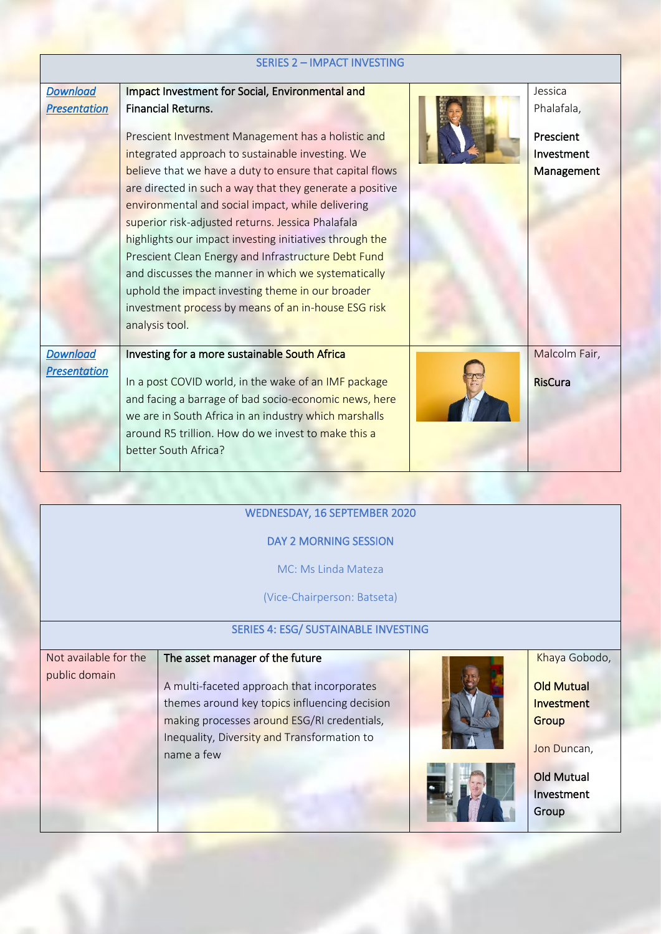| <b>SERIES 2 - IMPACT INVESTING</b> |                                                          |  |                   |  |
|------------------------------------|----------------------------------------------------------|--|-------------------|--|
| <b>Download</b>                    | Impact Investment for Social, Environmental and          |  | Jessica           |  |
| <b>Presentation</b>                | <b>Financial Returns.</b>                                |  | Phalafala,        |  |
|                                    | Prescient Investment Management has a holistic and       |  | Prescient         |  |
|                                    | integrated approach to sustainable investing. We         |  | Investment        |  |
|                                    | believe that we have a duty to ensure that capital flows |  | <b>Management</b> |  |
|                                    | are directed in such a way that they generate a positive |  |                   |  |
|                                    | environmental and social impact, while delivering        |  |                   |  |
|                                    | superior risk-adjusted returns. Jessica Phalafala        |  |                   |  |
|                                    | highlights our impact investing initiatives through the  |  |                   |  |
|                                    | Prescient Clean Energy and Infrastructure Debt Fund      |  |                   |  |
|                                    | and discusses the manner in which we systematically      |  |                   |  |
|                                    | uphold the impact investing theme in our broader         |  |                   |  |
|                                    | investment process by means of an in-house ESG risk      |  |                   |  |
|                                    | analysis tool.                                           |  |                   |  |
|                                    |                                                          |  |                   |  |
| <b>Download</b>                    | Investing for a more sustainable South Africa            |  | Malcolm Fair,     |  |
| <b>Presentation</b>                | In a post COVID world, in the wake of an IMF package     |  | <b>RisCura</b>    |  |
|                                    | and facing a barrage of bad socio-economic news, here    |  |                   |  |
|                                    | we are in South Africa in an industry which marshalls    |  |                   |  |
|                                    | around R5 trillion. How do we invest to make this a      |  |                   |  |
|                                    | better South Africa?                                     |  |                   |  |
|                                    |                                                          |  |                   |  |

## WEDNESDAY, 16 SEPTEMBER 2020

## DAY 2 MORNING SESSION

MC: Ms Linda Mateza

(Vice-Chairperson: Batseta)

# SERIES 4: ESG/ SUSTAINABLE INVESTING

#### Not available for the The asset manager of the future

public domain

A multi-faceted approach that incorporates themes around key topics influencing decision making processes around ESG/RI credentials, Inequality, Diversity and Transformation to name a few



Khaya Gobodo,

**Old Mutual** Investment **Group** 

Jon Duncan,

Old Mutual Investment Group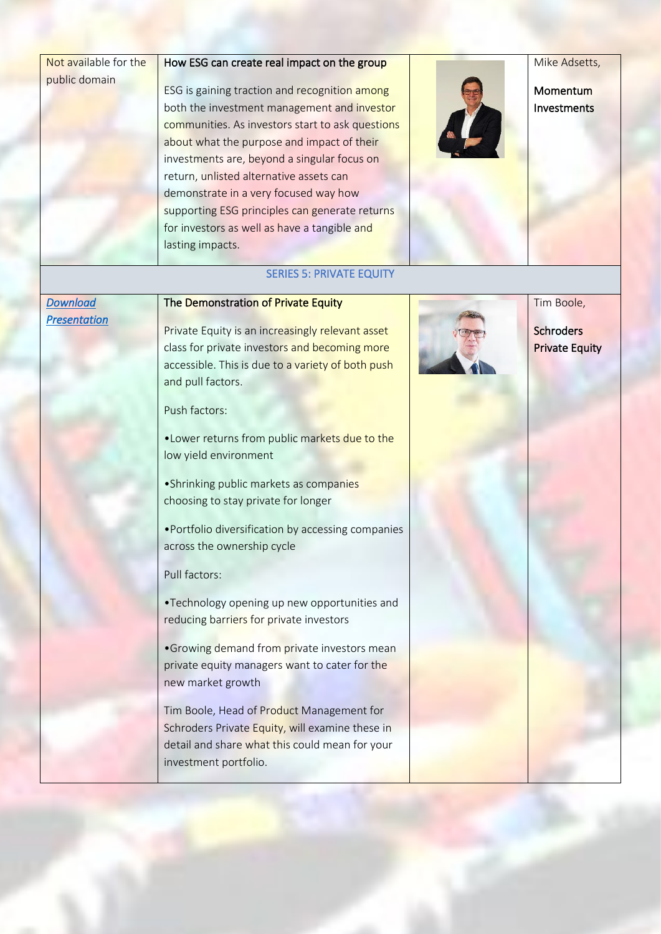| Not available for the |
|-----------------------|
| public domain         |

#### How ESG can create real impact on the group

**ESG** is gaining traction and recognition among both the investment management and investor communities. As investors start to ask questions about what the purpose and impact of their investments are, beyond a singular focus on return, unlisted alternative assets can demonstrate in a very focused way how supporting ESG principles can generate returns for investors as well as have a tangible and lasting impacts.

Mike Adsetts,

Momentum Investments

# SERIES 5: PRIVATE EQUITY

#### *[Download](https://0e1cb70d-72e0-4c2c-bf8b-b449f072b6a7.usrfiles.com/ugd/0e1cb7_e9b81cefcdd64d41a3845c85f1ac26cb.pdf)  [Presentation](https://0e1cb70d-72e0-4c2c-bf8b-b449f072b6a7.usrfiles.com/ugd/0e1cb7_e9b81cefcdd64d41a3845c85f1ac26cb.pdf)*

#### The Demonstration of Private Equity

Private Equity is an increasingly relevant asset class for private investors and becoming more accessible. This is due to a variety of both push and pull factors.

Push factors:

•Lower returns from public markets due to the low yield environment

•Shrinking public markets as companies choosing to stay private for longer

•Portfolio diversification by accessing companies across the ownership cycle

Pull factors:

•Technology opening up new opportunities and reducing barriers for private investors

•Growing demand from private investors mean private equity managers want to cater for the new market growth

Tim Boole, Head of Product Management for Schroders Private Equity, will examine these in detail and share what this could mean for your investment portfolio.



Tim Boole,

**Schroders** Private Equity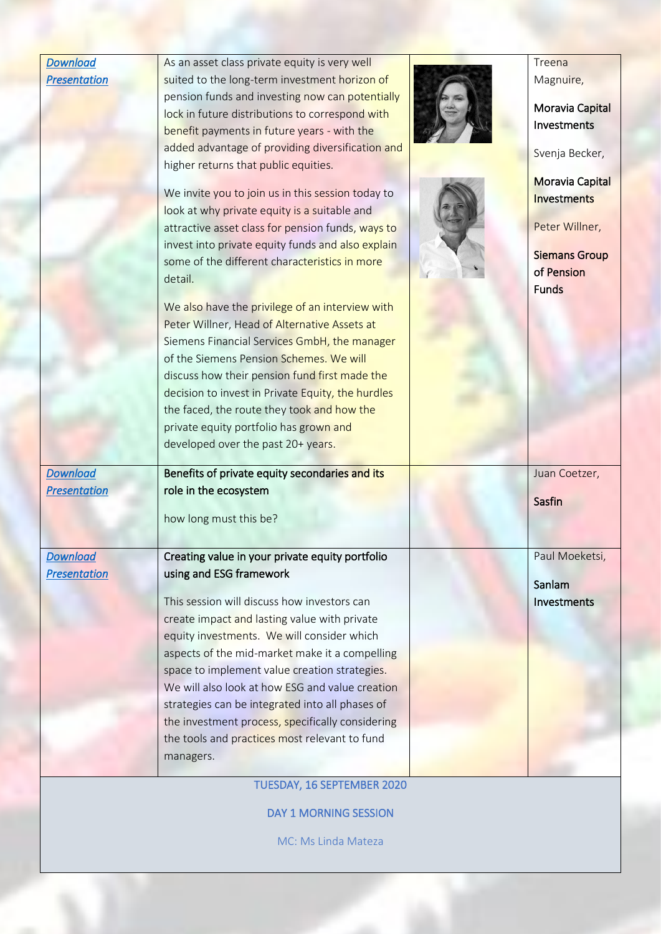| <b>Download</b>     | As an asset class private equity is very well                                                      | Treena               |
|---------------------|----------------------------------------------------------------------------------------------------|----------------------|
| <b>Presentation</b> | suited to the long-term investment horizon of                                                      | Magnuire,            |
|                     | pension funds and investing now can potentially                                                    |                      |
|                     | lock in future distributions to correspond with                                                    | Moravia Capital      |
|                     | benefit payments in future years - with the                                                        | Investments          |
|                     | added advantage of providing diversification and                                                   | Svenja Becker,       |
|                     | higher returns that public equities.                                                               |                      |
|                     |                                                                                                    | Moravia Capital      |
|                     | We invite you to join us in this session today to                                                  | Investments          |
|                     | look at why private equity is a suitable and                                                       | Peter Willner,       |
|                     | attractive asset class for pension funds, ways to                                                  |                      |
|                     | invest into private equity funds and also explain<br>some of the different characteristics in more | <b>Siemans Group</b> |
|                     | detail.                                                                                            | of Pension           |
|                     |                                                                                                    | <b>Funds</b>         |
|                     | We also have the privilege of an interview with                                                    |                      |
|                     | Peter Willner, Head of Alternative Assets at                                                       |                      |
|                     | Siemens Financial Services GmbH, the manager                                                       |                      |
|                     | of the Siemens Pension Schemes. We will                                                            |                      |
|                     | discuss how their pension fund first made the                                                      |                      |
|                     | decision to invest in Private Equity, the hurdles                                                  |                      |
|                     | the faced, the route they took and how the                                                         |                      |
|                     | private equity portfolio has grown and                                                             |                      |
|                     | developed over the past 20+ years.                                                                 |                      |
| <b>Download</b>     | Benefits of private equity secondaries and its                                                     | Juan Coetzer,        |
| <b>Presentation</b> | role in the ecosystem                                                                              |                      |
|                     |                                                                                                    | Sasfin               |
|                     | how long must this be?                                                                             |                      |
|                     |                                                                                                    |                      |
| <b>Download</b>     | Creating value in your private equity portfolio                                                    | Paul Moeketsi,       |
| <b>Presentation</b> | using and ESG framework                                                                            | Sanlam               |
|                     | This session will discuss how investors can                                                        | Investments          |
|                     | create impact and lasting value with private                                                       |                      |
|                     | equity investments. We will consider which                                                         |                      |
|                     | aspects of the mid-market make it a compelling                                                     |                      |
|                     | space to implement value creation strategies.                                                      |                      |
|                     | We will also look at how ESG and value creation                                                    |                      |
|                     | strategies can be integrated into all phases of                                                    |                      |
|                     | the investment process, specifically considering                                                   |                      |
|                     | the tools and practices most relevant to fund                                                      |                      |
|                     | managers.                                                                                          |                      |
|                     |                                                                                                    |                      |
|                     | TUESDAY, 16 SEPTEMBER 2020                                                                         |                      |

DAY 1 MORNING SESSION

MC: Ms Linda Mateza